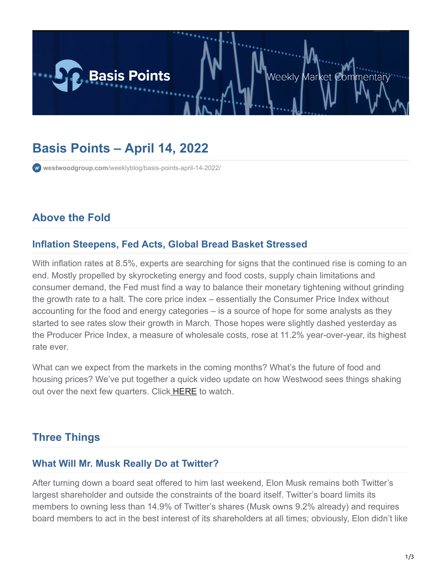

# **Basis Points – April 14, 2022**

**westwoodgroup.com**[/weeklyblog/basis-points-april-14-2022/](https://westwoodgroup.com/weeklyblog/basis-points-april-14-2022/)

# **Above the Fold**

#### **Inflation Steepens, Fed Acts, Global Bread Basket Stressed**

With inflation rates at 8.5%, experts are searching for signs that the continued rise is coming to an end. Mostly propelled by skyrocketing energy and food costs, supply chain limitations and consumer demand, the Fed must find a way to balance their monetary tightening without grinding the growth rate to a halt. The core price index – essentially the Consumer Price Index without accounting for the food and energy categories – is a source of hope for some analysts as they started to see rates slow their growth in March. Those hopes were slightly dashed yesterday as the Producer Price Index, a measure of wholesale costs, rose at 11.2% year-over-year, its highest rate ever.

What can we expect from the markets in the coming months? What's the future of food and housing prices? We've put together a quick video update on how Westwood sees things shaking out over the next few quarters. Click **HERE** to watch.

# **Three Things**

#### **What Will Mr. Musk Really Do at Twitter?**

After turning down a board seat offered to him last weekend, Elon Musk remains both Twitter's largest shareholder and outside the constraints of the board itself. Twitter's board limits its members to owning less than 14.9% of Twitter's shares (Musk owns 9.2% already) and requires board members to act in the best interest of its shareholders at all times; obviously, Elon didn't like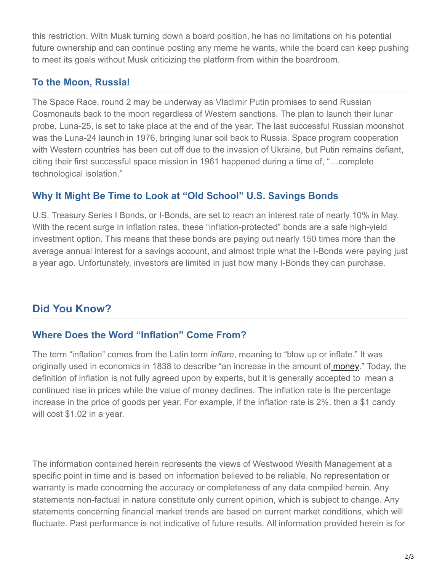this restriction. With Musk turning down a board position, he has no limitations on his potential future ownership and can continue posting any meme he wants, while the board can keep pushing to meet its goals without Musk criticizing the platform from within the boardroom.

### **To the Moon, Russia!**

The Space Race, round 2 may be underway as Vladimir Putin promises to send Russian Cosmonauts back to the moon regardless of Western sanctions. The plan to launch their lunar probe, Luna-25, is set to take place at the end of the year. The last successful Russian moonshot was the Luna-24 launch in 1976, bringing lunar soil back to Russia. Space program cooperation with Western countries has been cut off due to the invasion of Ukraine, but Putin remains defiant, citing their first successful space mission in 1961 happened during a time of, "…complete technological isolation."

### **Why It Might Be Time to Look at "Old School" U.S. Savings Bonds**

U.S. Treasury Series I Bonds, or I-Bonds, are set to reach an interest rate of nearly 10% in May. With the recent surge in inflation rates, these "inflation-protected" bonds are a safe high-yield investment option. This means that these bonds are paying out nearly 150 times more than the average annual interest for a savings account, and almost triple what the I-Bonds were paying just a year ago. Unfortunately, investors are limited in just how many I-Bonds they can purchase.

# **Did You Know?**

### **Where Does the Word "Inflation" Come From?**

The term "inflation" comes from the Latin term *inflare*, meaning to "blow up or inflate." It was originally used in economics in 1838 to describe "an increase in the amount of [money.](https://www.factretriever.com/money-facts)" Today, the definition of inflation is not fully agreed upon by experts, but it is generally accepted to mean a continued rise in prices while the value of money declines. The inflation rate is the percentage increase in the price of goods per year. For example, if the inflation rate is 2%, then a \$1 candy will cost \$1.02 in a year.

The information contained herein represents the views of Westwood Wealth Management at a specific point in time and is based on information believed to be reliable. No representation or warranty is made concerning the accuracy or completeness of any data compiled herein. Any statements non-factual in nature constitute only current opinion, which is subject to change. Any statements concerning financial market trends are based on current market conditions, which will fluctuate. Past performance is not indicative of future results. All information provided herein is for